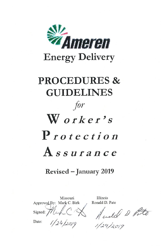

# **PROCEDURES & GUIDELINES** for  $W$  orker's Protection Assurance

**Revised – January 2019** 

|         | Missouri                  |
|---------|---------------------------|
|         | Approved By: Mark C. Birk |
| Signed: |                           |

Illinois Ronald D. Pate

Naulel & Poto

 $1/24/2019$ 

Date: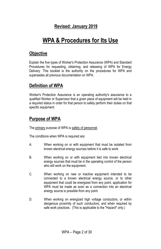#### **Revised: January 2019**

# **WPA & Procedures for Its Use**

#### **Objective**

Explain the five types of Worker's Protection Assurance (WPA) and Standard Procedures for requesting, obtaining, and releasing of WPA for Energy Delivery. This booklet is the authority on the procedures for WPA and supersedes all previous documentation on WPA.

#### **Definition of WPA**

Worker's Protection Assurance is an operating authority's assurance to a qualified Worker or Supervisor that a given piece of equipment will be held in a required status in order for that person to safely perform their duties on that specific equipment.

#### **Purpose of WPA**

The primary purpose of WPA is safety of personnel.

The conditions when WPA is required are:

- A. When working on or with equipment that must be isolated from known electrical energy sources before it is safe to work.
- B. When working on or with equipment tied into known electrical energy sources that must be in the operating control of the person who will work on the equipment.
- C. When working on new or inactive equipment intended to be connected to a known electrical energy source, or to other equipment that could be energized from any point, application for WPA must be made as soon as a connection into an electrical energy source is possible from any point.
- D. When working on energized high voltage conductors, or within dangerous proximity of such conductors, and when required by safe work practices. (This is applicable to the "Hazard" only.)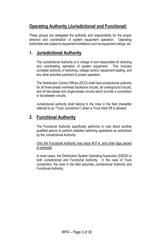# **Operating Authority (Jurisdictional and Functional)**

These groups are delegated the authority and responsibility for the proper direction and coordination of system equipment operation. Operating Authorities are subject to equipment limitations such as equipment ratings, etc.

#### **1. Jurisdictional Authority**

The Jurisdictional Authority is in charge of and responsible for directing and coordinating operation of system equipment. This includes complete authority of switching, voltage control, equipment loading, and any other activities pertinent to proper operation.

The Distribution Control Offices (DCO) shall have jurisdictional authority for all three-phase overhead backbone circuits, all underground circuits, and all two-phase and single-phase circuits which provide a connection or tie between circuits.

Jurisdictional authority shall belong to the crew in the field (hereafter referred to as "Truck Jurisdiction") when a Truck Hold Off is allowed.

#### **2. Functional Authority**

The Functional Authority specifically performs or may direct another qualified person to perform detailed switching operations as authorized by the Jurisdictional Authority.

Only the Functional Authority may issue W.P.A. and order tags placed or removed.

In most cases, the Distribution System Operating Supervisor (DSOS) is both Jurisdictional and Functional Authority. In the case of Truck Jurisdiction, the crew in the field assumes Jurisdictional Authority and Functional Authority.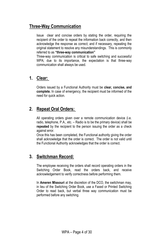## **Three-Way Communication**

Issue clear and concise orders by stating the order, requiring the recipient of the order to repeat the information back correctly, and then acknowledge the response as correct; and if necessary, repeating the original statement to resolve any misunderstandings. This is commonly referred to as **"three-way communication"** 

Three-way communication is critical to safe switching and successful WPA; due to its importance, the expectation is that three-way communication shall always be used.

#### **1. Clear:**

Orders issued by a Functional Authority must be **clear, concise, and complete.** In case of emergency, the recipient must be informed of the need for quick action.

# **2. Repeat Oral Orders:**

All operating orders given over a remote communication device (i.e. radio, telephone, P.A., etc. – Radio is to be the primary device) shall be **repeated** by the recipient to the person issuing the order as a check against error.

Once this has been completed, the Functional authority giving the order shall acknowledge that the order is correct. The order is not valid until the Functional Authority acknowledges that the order is correct.

#### **3. Switchman Record:**

The employee receiving the orders shall record operating orders in the Switching Order Book, read the orders back, and receive acknowledgement to verify correctness before performing them.

In **Ameren Missouri** at the discretion of the DCO, the switchman may, in lieu of the Switching Order Book, use a Faxed or Printed Switching Order to read back, but verbal three way communication must be performed before any switching.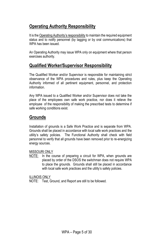# **Operating Authority Responsibility**

It is the Operating Authority's responsibility to maintain the required equipment status and to notify personnel (by tagging or by oral communications) that WPA has been issued.

An Operating Authority may issue WPA only on equipment where that person exercises authority.

#### **Qualified Worker/Supervisor Responsibility**

The Qualified Worker and/or Supervisor is responsible for maintaining strict observance of the WPA procedures and rules, plus keep the Operating Authority informed of all pertinent equipment, personnel, and protection information.

Any WPA issued to a Qualified Worker and/or Supervisor does not take the place of the employees own safe work practice, nor does it relieve the employee of the responsibility of making the prescribed tests to determine if safe working conditions exist.

#### **Grounds**

Installation of grounds is a Safe Work Practice and is separate from WPA. Grounds shall be placed in accordance with local safe work practices and the utility's safety policies. The Functional Authority shall check with field personnel to verify that all grounds have been removed prior to re-energizing energy sources.

#### MISSOURI ONLY

NOTE: In the course of preparing a circuit for WPA, when grounds are placed by order of the DSOS the switchman does not require WPA to place the grounds. Grounds shall still be placed in accordance with local safe work practices and the utility's safety policies.

ILLINOIS ONLY

NOTE: Test, Ground, and Report are still to be followed.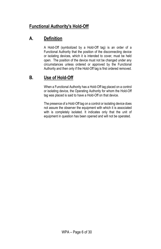# **Functional Authority's Hold-Off**

# **A. Definition**

A Hold-Off (symbolized by a Hold-Off tag) is an order of a Functional Authority that the position of the disconnecting device or isolating devices, which it is intended to cover, must be held open. The position of the device must not be changed under any circumstances unless ordered or approved by the Functional Authority and then only if the Hold-Off tag is first ordered removed.

## **B. Use of Hold-Off**

When a Functional Authority has a Hold-Off tag placed on a control or isolating device, the Operating Authority for whom the Hold-Off tag was placed is said to have a Hold-Off on that device.

The presence of a Hold-Off tag on a control or isolating device does not assure the observer the equipment with which it is associated with is completely isolated. It indicates only that the unit of equipment in question has been opened and will not be operated.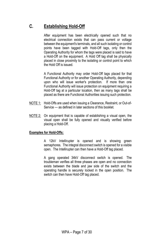# **C. Establishing Hold-Off**

After equipment has been electrically opened such that no electrical connection exists that can pass current or voltage between the equipment's terminals, and all such isolating or control points have been tagged with Hold-Off tags, only then the Operating Authority for whom the tags were placed is said to have a Hold-Off on the equipment. A Hold Off tag shall be physically placed in close proximity to the isolating or control point to which the Hold Off is issued.

A Functional Authority may order Hold-Off tags placed for that Functional Authority or for another Operating Authority, depending upon who will issue worker's protection. If more than one Functional Authority will issue protection on equipment requiring a Hold-Off tag at a particular location, then as many tags shall be placed as there are Functional Authorities issuing such protection.

- NOTE 1: Hold-Offs are used when issuing a Clearance, Restraint, or Out-of-Service — as defined in later sections of this booklet.
- NOTE 2: On equipment that is capable of establishing a visual open, the visual open shall be fully opened and visually verified before placing a Hold-Off.

#### **Examples for Hold-Offs:**

A 12kV Intellirupter is opened and is showing green semaphores. The integral disconnect switch is opened for a visible open. The Intellirupter can then have a Hold-Off tag placed.

A gang operated 34kV disconnect switch is opened. The troubleman verifies all three phases are open and no connection exists between the blade and jaw side of the switch and the operating handle is securely locked in the open position. The switch can then have Hold-Off tag placed.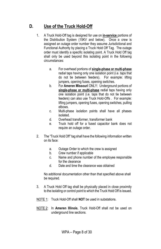# **D. Use of the Truck Hold-Off**

- 1. A Truck Hold-Off tag is designed for use on **in-service** portions of the Distribution System (15KV and below). Once a crew is assigned an outage order number they assume Jurisdictional and Functional Authority by placing a Truck Hold Off Tag. The outage order must identify a specific isolating point. A Truck Hold Off tag shall only be used beyond this isolating point in the following circumstances:
	- a. For overhead portions of **single-phase or multi-phase** radial taps having only one isolation point (i.e. taps that do not tie between feeders). For example: lifting jumpers, opening fuses, opening switches.
	- b. For **Ameren Missouri** ONLY: Underground portions of **single-phase or multi-phase** radial taps having only one isolation point (i.e. taps that do not tie between feeders) can also use Truck Hold-Offs . For example: lifting jumpers, opening fuses, opening switches, pulling elbows.
	- c. Multi-phase isolation points shall have all phases isolated.
	- d. Overhead transformer, transformer bank
	- e. Truck hold off for a fused capacitor bank does not require an outage order.
- 2. The "Truck Hold Off" tag shall have the following information written on its face:
	- a. Outage Order to which the crew is assigned
	- b. Crew number if applicable
	- c. Name and phone number of the employee responsible for the clearance
	- d. Date and time the clearance was obtained

No additional documentation other than that specified above shall be required.

- 3. A Truck Hold Off tag shall be physically placed in close proximity to the isolating or control point to which the Truck Hold Off is issued.
- NOTE 1: Truck Hold-Off shall **NOT** be used in substations.
- NOTE 2: In **Ameren Illinois**, Truck Hold-Off shall not be used on underground line sections.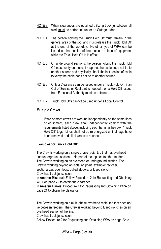- NOTE 3: When clearances are obtained utilizing truck jurisdiction, all work must be performed under an Outage order.
- NOTE 4: The person holding the Truck Hold Off must remain in the general area of the job, and must release the Truck Hold Off at the end of the workday. No other type of WPA can be issued on that section of line, cable, or piece of equipment while the Truck Hold Off is in effect.
- NOTE 5: On underground sections, the person holding the Truck Hold Off must verify on a circuit map that the cable does not tie to another source and physically check the last section of cable to verify the cable does not tie to another source.
- NOTE 6: Only a Clearance can be issued under a Truck Hold Off, if an Out of Service or Restraint is needed then a Hold Off issued from Functional Authority must be obtained.
- NOTE 7: Truck Hold Offs cannot be used under a Local Control.

#### **Multiple Crews**

If two or more crews are working independently on the same lines or equipment, each crew shall independently comply with the requirements listed above, including each hanging their own "Truck Hold Off" tags. Lines shall not be re-energized until all tags have been removed and all clearances released.

#### **Examples for Truck Hold Off:**

The Crew is working on a single phase radial tap that has overhead and underground sections. No part of the tap ties to other feeders. The Crew is working on an overhead or underground section. The Crew is working beyond an isolating point (example: recloser, sectionalizer, open loop, pulled elbows, or fused switch). Crew has truck jurisdiction.

In **Ameren Missouri**: Follow Procedure 2 for Requesting and Obtaining WPA on page 22 to obtain the clearance.

In **Ameren Illinois**: Procedure 1 for Requesting and Obtaining WPA on page 21 to obtain the clearance.

The Crew is working on a multi-phase overhead radial tap that does not tie between feeders. The Crew is working beyond fused switches on an overhead section of the line.

Crew has truck jurisdiction.

Follow Procedure 2 for Requesting and Obtaining WPA on page 22 to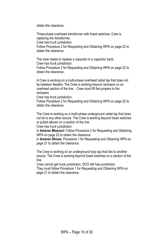obtain the clearance.

Three-phase overhead transformer with fused switches, Crew is replacing the transformer.

Crew has truck jurisdiction.

Follow Procedure 2 for Requesting and Obtaining WPA on page 22 to obtain the clearance.

The crew needs to replace a capacitor in a capacitor bank. Crew has truck jurisdiction.

Follow Procedure 2 for Requesting and Obtaining WPA on page 22 to obtain the clearance.

A Crew is working on a multi-phase overhead radial tap that does not tie between feeders. The Crew is working beyond reclosers on an overhead section of the line. Crew must lift the jumpers to the reclosers.

Crew has truck jurisdiction.

Follow Procedure 2 for Requesting and Obtaining WPA on page 22 to obtain the clearance.

The Crew is working on a multi-phase underground radial tap that does not tie to any other source. The Crew is working beyond fused switches or pulled elbows on a section of the line.

Crew has truck jurisdiction.

In **Ameren Missouri**: Follow Procedure 2 for Requesting and Obtaining WPA on page 22 to obtain the clearance.

In **Ameren Illinois**: Procedure 1 for Requesting and Obtaining WPA on page 21 to obtain the clearance.

The Crew is working on an underground loop tap that ties to another source. The Crew is working beyond fused switches on a section of the line.

Crew cannot get truck jurisdiction. DCO still has jurisdiction.

They must follow Procedure 1 for Requesting and Obtaining WPA on page 21 to obtain the clearance.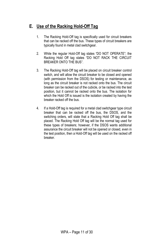# **E. Use of the Racking Hold-Off Tag**

- 1. The Racking Hold-Off tag is specifically used for circuit breakers that can be racked off the bus. These types of circuit breakers are typically found in metal clad switchgear.
- 2. While the regular Hold-Off tag states "DO NOT OPERATE"; the Racking Hold Off tag states "DO NOT RACK THE CIRCUIT BREAKER ONTO THE BUS".
- 3. The Racking Hold-Off tag will be placed on circuit breaker control switch, and will allow the circuit breaker to be closed and opened (with permission from the DSOS) for testing or maintenance, as long as the circuit breaker is not racked onto the bus. The circuit breaker can be racked out of the cubicle, or be racked into the test position, but it cannot be racked onto the bus. The isolation for which the Hold Off is issued is the isolation created by having the breaker racked off the bus.
- 4. If a Hold-Off tag is required for a metal clad switchgear type circuit breaker that can be racked off the bus, the DSOS, and the switching orders, will state that a Racking Hold Off tag shall be placed. The Racking Hold Off tag will be the normal tag used for these types of breakers; however, if the DSOS wants additional assurance the circuit breaker will not be opened or closed, even in the test position, then a Hold-Off tag will be used on the racked off breaker.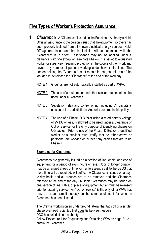#### **Five Types of Worker's Protection Assurance:**

- **1.** *Clearance* A "Clearance" issued on the Functional Authority's Hold-Off is an assurance to the person issued that the equipment it covers has been properly isolated from all known electrical energy sources, Hold-Off tags are placed, and that this isolation will be maintained while the "Clearance" is in effect. Test voltage may not be applied under a clearance, with one exception, see note 4 below. It is issued to a qualified worker or supervisor requiring protection in the course of their work and covers any number of persons working under his/her direction. The person holding the "Clearance" must remain in the general area of the job, and must release the "Clearance" at the end of the workday.
	- NOTE 1: Grounds are not automatically installed as part of WPA.
	- NOTE 2: The use of a multi-meter and other similar equipment can be used under a Clearance.
	- NOTE 3: Substation relay and control wiring, including CT circuits is outside of the Jurisdictional Authority covered in this policy.
	- NOTE 4: The use of a Phase ID Buzzer using a rated battery voltage of 9V DC or less, is allowed to be used under a Clearance or Out of Service for the only purpose of identifying phases on UG cables. Prior to use of the Phase ID Buzzer a qualified worker or supervisor must verify that no other crews or personnel are working on or near any cables that are to be Phase ID.

#### **Examples for Clearance:**

Clearances are generally issued on a section of line, cable, or piece of equipment for a period of eight hours or less. Jobs of longer duration may be arranged ahead of time, or if unforeseen, a call to the DSOS that more time will be required, will suffice. A Clearance is issued on a dayto-day basis and all grounds are to be removed and the Clearance released at the end of the day. Multiple Clearances may be issued on one section of line, cable, or piece of equipment but all must be released prior to restoring service. An "Out of Service" is the only other WPA that may be issued simultaneously on the same equipment for which a Clearance has been issued.

The Crew is working on an underground **lateral** that taps off of a single phase overhead radial tap that does tie between feeders.

DCO has jurisdictional authority.

Follow Procedure 1 for Requesting and Obtaining WPA on page 21 to obtain the Clearance.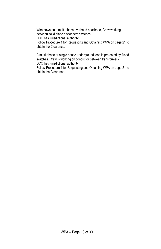Wire down on a multi-phase overhead backbone, Crew working between solid blade disconnect switches.

DCO has jurisdictional authority.

Follow Procedure 1 for Requesting and Obtaining WPA on page 21 to obtain the Clearance.

A multi-phase or single phase underground loop is protected by fused switches. Crew is working on conductor between transformers. DCO has jurisdictional authority.

Follow Procedure 1 for Requesting and Obtaining WPA on page 21 to obtain the Clearance.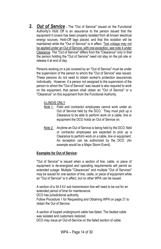**2.** *Out of Service* - The "Out of Service" issued on the Functional Authority's Hold Off is an assurance to the person issued that the equipment it covers has been properly isolated from all known electrical energy sources, Hold-Off tags placed, and that this isolation will be maintained while the "Out of Service" is in effect. Test voltage may not be applied under an Out of Service, with one exception, see note 4 under Clearance. The "Out of Service" differs from the "Clearance" only in that the person holding the "Out of Service" need not stay on the job site or release it at end of day.

Persons working on a job covered by an "Out of Service" must be under the supervision of the person to whom the "Out of Service" was issued. These persons do not need to obtain worker's protection assurances individually. However, if a person not assigned to the supervision of the person to whom the "Out of Service" was issued is also required to work on the equipment, that person shall obtain an "Out of Service" or a "Clearance" on this equipment from the Functional Authority.

#### ILLINOIS ONLY

- Note 1: Field and contractor employees cannot work under an Out of Service held by the DCO. They must pick up a Clearance to be able to perform work on a cable, line or equipment the DCO holds an Out of Service on.
- Note 2: Anytime an Out of Service is being held by the DCO; field or contractor employees are expected to pick up a Clearance to perform work on a cable, line or equipment. An exception can be authorized by the DCO. (An example would be a Major Storm Event).

#### **Examples for Out of Service:**

"Out of Service" is issued when a section of line, cable, or piece of equipment is de-energized and operating requirements will permit an extended outage. Multiple "Clearances" and multiple "Out of Services" may be issued for one section of line, cable, or piece of equipment while an "Out of Service" is in effect, but no other WPA can be issued.

A section of a 34.5 kV sub transmission line will need to be out for an extended period of time for maintenance.

DCO has jurisdictional authority.

Follow Procedure 1 for Requesting and Obtaining WPA on page 21 to obtain the Out of Service.

A section of looped underground cable has failed. The faulted cable was isolated and customers restored.

DCO may issue an Out-of-Service on the failed section of cable.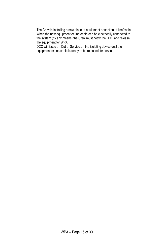The Crew is installing a new piece of equipment or section of line/cable. When the new equipment or line/cable can be electrically connected to the system (by any means) the Crew must notify the DCO and release the equipment for WPA.

DCO will issue an Out of Service on the isolating device until the equipment or line/cable is ready to be released for service.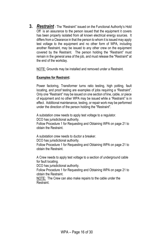**3.** *Restraint* - The "Restraint" issued on the Functional Authority's Hold Off is an assurance to the person issued that the equipment it covers has been properly isolated from all known electrical energy sources. It differs from a Clearance in that the person to whom it is issued may apply test voltage to the equipment and no other form of WPA, including another Restraint, may be issued to any other crew on the equipment covered by the Restraint. The person holding the "Restraint" must remain in the general area of the job, and must release the "Restraint" at the end of the workday.

NOTE: Grounds may be installed and removed under a Restraint.

#### **Examples for Restraint:**

Power factoring, Transformer turns ratio testing, high potting, fault locating, and proof testing are examples of jobs requiring a "Restraint". Only one "Restraint" may be issued on one section of line, cable, or piece of equipment and no other WPA may be issued while a "Restraint" is in effect. Additional maintenance, testing, or repair work may be performed under the direction of the person holding the "Restraint".

A substation crew needs to apply test voltage to a regulator. DCO has jurisdictional authority. Follow Procedure 1 for Requesting and Obtaining WPA on page 21 to obtain the Restraint.

A substation crew needs to ductor a breaker.

DCO has jurisdictional authority.

Follow Procedure 1 for Requesting and Obtaining WPA on page 21 to obtain the Restraint.

A Crew needs to apply test voltage to a section of underground cable for fault locating.

DCO has jurisdictional authority.

Follow Procedure 1 for Requesting and Obtaining WPA on page 21 to obtain the Restraint.

NOTE: The Crew can also make repairs to the cable under the Restraint.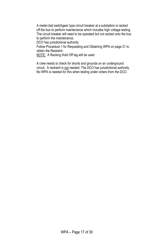A metal-clad switchgear type circuit breaker at a substation is racked off the bus to perform maintenance which includes high voltage testing. The circuit breaker will need to be operated but not racked onto the bus to perform the maintenance.

DCO has jurisdictional authority.

Follow Procedure 1 for Requesting and Obtaining WPA on page 21 to obtain the Restraint.

NOTE: A Racking Hold Off tag will be used.

A crew needs to check for shorts and grounds on an underground circuit. A restraint is not needed. The DCO has jurisdictional authority. No WPA is needed for this when testing under orders from the DCO.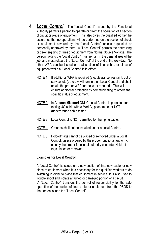- **4.** *Local Control* The "Local Control" issued by the Functional Authority permits a person to operate or direct the operation of a section of circuit or piece of equipment. This also gives the qualified worker the assurance that no operations will be performed on the section of circuit or equipment covered by the "Local Control" unless requested or personally approved by them. A "Local Control" permits the energizing or de-energizing of lines or equipment from Normal Source Voltage. The person holding the "Local Control" must remain in the general area of the job, and must release the "Local Control" at the end of the workday. No other WPA can be issued on that section of line, cable, or piece of equipment while a "Local Control" is in effect.
	- NOTE 1: If additional WPA is required (e.g. clearance, restraint, out of service, etc.), a crew will turn in their Local Control and shall obtain the proper WPA for the work required. This will ensure additional protection by communicating to others the specific status of equipment.
	- NOTE 2: In **Ameren Missouri** ONLY, Local Control is permitted for testing UG cable with a Mark V, phasemate, or UCT (underground cable tester).
	- NOTE 3: Local Control is NOT permitted for thumping cable.
	- NOTE 4: Grounds shall not be installed under a Local Control.
	- NOTE 5: Hold-off tags cannot be placed or removed under a Local Control, unless ordered by the proper functional authority; as only the proper functional authority can order Hold-off tags placed or removed.

#### **Examples for Local Control:**

A "Local Control" is issued on a new section of line, new cable, or new piece of equipment when it is necessary for the qualified workers to do switching in order to place that equipment in service. It is also used to trouble shoot and isolate a faulted or damaged portion of a circuit.

A "Local Control" transfers the control of responsibility for the safe operation of the section of line, cable, or equipment from the DSOS to the person issued the "Local Control".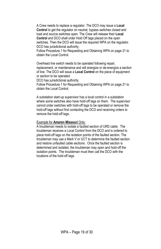A Crew needs to replace a regulator. The DCO may issue a **Local Control** to get the regulator on neutral, bypass switches closed and load and source switches open. The Crew will release their **Local Control** and DCO shall order Hold Off tags placed on the open switches. Then the DCO will issue the required WPA on the regulator. DCO has jurisdictional authority.

Follow Procedure 1 for Requesting and Obtaining WPA on page 21 to obtain the Local Control.

Overhead line switch needs to be operated following repair, replacement, or maintenance and will energize or de-energize a section of line. The DCO will issue a **Local Control** on the piece of equipment or section to be operated.

DCO has jurisdictional authority.

Follow Procedure 1 for Requesting and Obtaining WPA on page 21 to obtain the Local Control.

A substation start-up supervisor has a local control in a substation where some switches also have hold-off tags on them. The supervisor cannot order switches with hold-off tags to be operated or remove the hold-off tags without first contacting the DCO and receiving orders to remove the hold-off tags.

#### Example for **Ameren Missouri** Only:

A troubleman needs to isolate a faulted section of URD cable. The troubleman receives a Local Control from the DCO and is ordered to place hold-off tags on the isolation points of the faulted section. The troubleman may use a Mark V or UCT to determine the faulted section and restore unfaulted cable sections. Once the faulted section is determined and isolated, the troubleman may open and hold-off the isolation points. The troubleman must then call the DCO with the locations of the hold-off tags.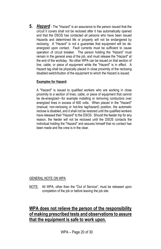**5.** *Hazard* - The "Hazard" is an assurance to the person issued that the circuit it covers shall not be reclosed after it has automatically opened and that the DSOS has contacted all persons who have been issued Hazards and determined life or property will not be endangered by reclosing. A "Hazard" is not a guarantee that equipment will be deenergized upon contact. Fault currents must be sufficient to cause operation of circuit breaker. The person holding the "Hazard" must remain in the general area of the job, and must release the "Hazard" at the end of the workday. No other WPA can be issued on that section of line, cable, or piece of equipment while the "Hazard" is in effect. A Hazard tag shall be physically placed in close proximity of the reclosing disabled switch/button of the equipment to which the Hazard is issued.

#### **Examples for Hazard:**

A "Hazard" is issued to qualified workers who are working in close proximity to a section of lines, cable, or piece of equipment that cannot be de-energized—for example installing or removing conductors over energized lines in excess of 600 volts. When placed in the "Hazard" (manual, non-reclosing or hot-line tag/hazard) position, the automatic reclose is disabled, and it shall not be restored until the qualified workers have released their "Hazard" to the DSOS. Should the feeder trip for any reason, the feeder will not be reclosed until the DSOS contacts the individual holding the "Hazard" and assures himself that no contact has been made and the crew is in the clear.

#### GENERAL NOTE ON WPA

NOTE: All WPA, other than the "Out of Service", must be released upon completion of the job or before leaving the job site.

#### **WPA does not relieve the person of the responsibility of making prescribed tests and observations to assure that the equipment is safe to work upon.**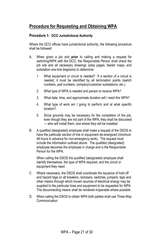# **Procedure for Requesting and Obtaining WPA**

#### **Procedure 1: DCO Jurisdictional Authority**

Where the DCO offices have jurisdictional authority, the following procedure shall be followed:

- A. When given a job and **prior** to calling and making a request for switching/WPA with the DCO, the Responsible Person shall check the job site and all necessary drawings (area pages, feeder maps, and substation one-line diagrams) to determine:
	- 1. What equipment or circuit is needed? If a section of a circuit is needed, it must be identified by all termination points (switch numbers, pad numbers, company/customer substations, etc.).
	- 2. What type of WPA is needed and person to receive WPA?
	- 3. What date, time, and approximate duration will I need this WPA?
	- 4. What type of work am I going to perform and at what specific location?
	- 5. Since grounds may be necessary for the completion of the job, even though they are not part of the WPA, they shall be discussed — who will install them, and where they will be installed.
- B. A qualified (designated) employee shall make a request of the DSOS to have the particular section of line or equipment de-energized (minimum 48 hours in advance for non-emergency work). The request must include the information outlined above. The qualified (designated) employee becomes the employee in charge and is the Responsible Person for the WPA.

When calling the DSOS the qualified (designated) employee shall identify themselves, the type of WPA required, and the circuit or equipment they need.

- C. Where necessary, the DSOS shall coordinate the issuance of hold off and hazard tags on all breakers, reclosers, switches, jumpers, taps and other means through which known sources of electrical energy may be supplied to the particular lines and equipment to be requested for WPA. The disconnecting means shall be rendered inoperable where possible.
- D. When calling the DSOS to obtain WPA both parties shall use Three-Way Communication: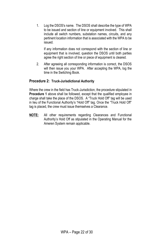1. Log the DSOS's name. The DSOS shall describe the type of WPA to be issued and section of line or equipment involved. This shall include all switch numbers, substation names, circuits, and any pertinent location information that is associated with the WPA to be issued.

If any information does not correspond with the section of line or equipment that is involved, question the DSOS until both parties agree the right section of line or piece of equipment is cleared.

2. After agreeing all corresponding information is correct, the DSOS will then issue you your WPA. After accepting the WPA, log the time in the Switching Book.

#### **Procedure 2: Truck-Jurisdictional Authority**

Where the crew in the field has Truck-Jurisdiction, the procedure stipulated in **Procedure 1** above shall be followed, except that the qualified employee in charge shall take the place of the DSOS. A "Truck Hold Off" tag will be used in lieu of the Functional Authority's "Hold Off" tag. Once the "Truck Hold Off" tag is placed, the crew must issue themselves a Clearance.

**NOTE:** All other requirements regarding Clearances and Functional Authority's Hold Off as stipulated in the Operating Manual for the Ameren System remain applicable.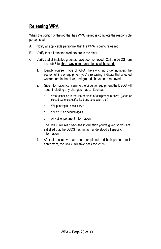# **Releasing WPA**

When the portion of the job that has WPA issued is complete the responsible person shall:

- A. Notify all applicable personnel that the WPA is being released
- B. Verify that all affected workers are in the clear
- C. Verify that all installed grounds have been removed. Call the DSOS from the Job Site, three way communication shall be used.
	- 1. Identify yourself, type of WPA, the switching order number, the section of line or equipment you're releasing, indicate that affected workers are in the clear, and grounds have been removed.
	- 2. Give information concerning the circuit or equipment the DSOS will need, including any changes made. Such as:
		- a. What condition is the line or piece of equipment in now? (Open or closed switches, cut/spliced any conductor, etc.)
		- b. Will phasing be necessary?
		- c. Will WPA be needed again?
		- d. Any other pertinent information.
	- 3. The DSOS will read back the information you've given so you are satisfied that the DSOS has, in fact, understood all specific information.
	- 4. After all the above has been completed and both parties are in agreement, the DSOS will take back the WPA.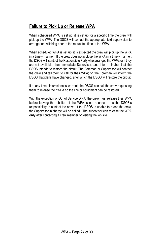# **Failure to Pick Up or Release WPA**

When scheduled WPA is set up, it is set up for a specific time the crew will pick up the WPA. The DSOS will contact the appropriate field supervision to arrange for switching prior to the requested time of the WPA.

When scheduled WPA is set up, it is expected the crew will pick up the WPA in a timely manner. If the crew does not pick up the WPA in a timely manner, the DSOS will contact the Responsible Party who arranged the WPA; or if they are not available, their immediate Supervisor, and inform him/her that the DSOS intends to restore the circuit. The Foreman or Supervisor will contact the crew and tell them to call for their WPA; or, the Foreman will inform the DSOS that plans have changed, after which the DSOS will restore the circuit.

If at any time circumstances warrant, the DSOS can call the crew requesting them to release their WPA so the line or equipment can be restored.

With the exception of Out of Service WPA, the crew must release their WPA before leaving the jobsite. If the WPA is not released, it is the DSOS's responsibility to contact the crew. If the DSOS is unable to reach the crew, the Supervisor in charge will be called. The supervisor can release the WPA **only** after contacting a crew member or visiting the job site.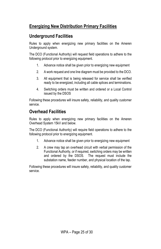# **Energizing New Distribution Primary Facilities**

#### **Underground Facilities**

Rules to apply when energizing new primary facilities on the Ameren Underground system.

The DCO (Functional Authority) will request field operations to adhere to the following protocol prior to energizing equipment.

- 1. Advance notice shall be given prior to energizing new equipment
- 2. A work request and one line diagram must be provided to the DCO.
- 3. All equipment that is being released for service shall be verified ready to be energized, including all cable splices and terminations.
- 4. Switching orders must be written and ordered or a Local Control issued by the DSOS

Following these procedures will insure safety, reliability, and quality customer service.

#### **Overhead Facilities**

Rules to apply when energizing new primary facilities on the Ameren Overhead System 15kV and below.

The DCO (Functional Authority) will require field operations to adhere to the following protocol prior to energizing equipment.

- 1. Advance notice shall be given prior to energizing new equipment
- 2. A crew may tap an overhead circuit with verbal permission of the Functional Authority, or if required, switching orders may be written and ordered by the DSOS. The request must include the substation name, feeder number, and physical location of the tap.

Following these procedures will insure safety, reliability, and quality customer service.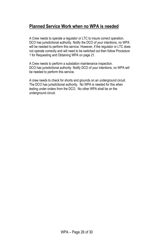#### **Planned Service Work when no WPA is needed**

A Crew needs to operate a regulator or LTC to insure correct operation. DCO has jurisdictional authority. Notify the DCO of your intentions, no WPA will be needed to perform this service. However, if the regulator or LTC does not operate correctly and will need to be switched out then follow Procedure 1 for Requesting and Obtaining WPA on page 21.

A Crew needs to perform a substation maintenance inspection. DCO has jurisdictional authority. Notify DCO of your intentions, no WPA will be needed to perform this service.

A crew needs to check for shorts and grounds on an underground circuit. The DCO has jurisdictional authority. No WPA is needed for this when testing under orders from the DCO. No other WPA shall be on the underground circuit.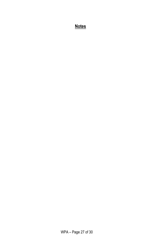### **Notes**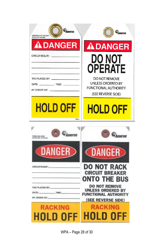| w.<br><b>M</b> Ameren<br>AMEREN-LOTO-HOLDOFF<br>STOCK NO. 1601652 | <b>Si</b> z<br>MAmeren                                                                                |
|-------------------------------------------------------------------|-------------------------------------------------------------------------------------------------------|
| <b>ADANGER</b>                                                    | <b>ADANGER</b>                                                                                        |
| CIRCUIT/EQUIP.:                                                   | DO NOT<br><b>OPERATE</b>                                                                              |
| TAG PLACED BY:<br>DATE:<br>$-$ TIME:<br>BY ORDER OF: _            | <b>DO NOT REMOVE</b><br><b>UNLESS ORDERED BY</b><br><b>FUNCTIONAL AUTHORITY</b><br>(SEE REVERSE SIDE) |
| <b>HOLD OFF</b><br><b>WFCo</b>                                    | <b>HOLD OFF</b>                                                                                       |
|                                                                   |                                                                                                       |
| Ameren<br>FORM THEE (2REE)<br>TOOK NO. 37-32-114                  | meren                                                                                                 |
| DANGER                                                            | <b>OANGER</b>                                                                                         |
| CIRCUITIEQUIP :-                                                  | <b>DO NOT RACK</b><br><b>CIRCUIT BREAKER</b><br>'he bus<br>IO 1                                       |
| TAG PLACED BY:<br>DATE:<br>.TIME:<br>BY ORDER OF:                 | <b>DO NOT REMOVE</b><br><b>UNLESS ORDERED BY</b><br><b>FUNCTIONAL AUTHORITY</b><br>(SEE REVERSE SIDE) |
| <b>RACKING</b><br>HOLD OI                                         | <b>RACKING</b><br>ol D-01                                                                             |

WPA – Page 28 of 30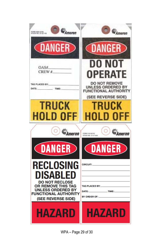| Ameren<br><b>FORM ESSE (E-MA)</b><br>IMAGN NGL 37-22-111 | $\frac{dV}{dV}$ Ameren                                                                                |
|----------------------------------------------------------|-------------------------------------------------------------------------------------------------------|
| <b>CDANGER</b>                                           | <b>CDANGER</b>                                                                                        |
| OAS#<br>CREW #                                           | DO NOT                                                                                                |
|                                                          | <b>OPERATE</b>                                                                                        |
| TAG PLACED BY:<br>DATE:<br>TIME:                         | <b>DO NOT REMOVE</b><br><b>UNLESS ORDERED BY</b><br><b>FUNCTIONAL AUTHORITY</b><br>(SEE REVERSE SIDE) |
| <b>TRUCK</b>                                             | TRUCK                                                                                                 |
| HOLD OFF                                                 | HOLD OFF                                                                                              |
| <b><i><u>Siz</u></i></b><br><i><b>Ameren</b></i>         | <b><i><u>Si</u></i></b><br><i>Ameren</i><br>FORM 5126 (6/16)<br>STOCK NO. 37-21-826                   |
| (DANGER)                                                 | <b>(DANGER)</b>                                                                                       |
| RECLOSING                                                | <b>CIRCUIT:</b>                                                                                       |
|                                                          |                                                                                                       |
| DISABLED                                                 |                                                                                                       |
| <b>DO NOT RECLOSE</b><br>OR REMOVE THIS TAG              | <b>TAG PLACED BY:</b>                                                                                 |
| <b>UNLESS ORDERED BY</b><br><b>FUNCTIONAL AUTHORITY</b>  | DATE:<br>TIME:                                                                                        |
| (SEE REVERSE SIDE)                                       | BY ORDER OF:                                                                                          |
| HAZARD                                                   | HAZARD                                                                                                |

WPA – Page 29 of 30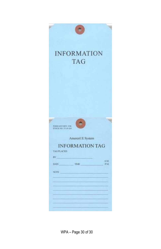